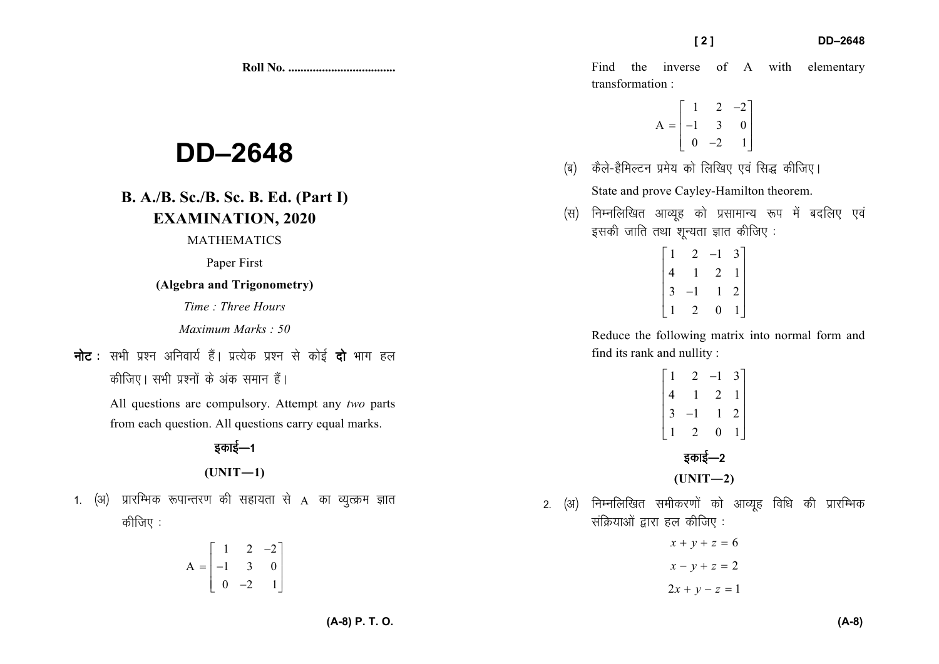# **DD–2648**

## **B. A./B. Sc./B. Sc. B. Ed. (Part I) EXAMINATION, 2020**

### MATHEMATICS

Paper First

#### **(Algebra and Trigonometry)**

*Time : Three Hours* 

*Maximum Marks : 50*

**नोट** : सभी प्रश्न अनिवार्य हैं। प्रत्येक प्रश्न से कोई **दो** भाग हल *dhft,A lHkh iz'uksa ds vad leku gSaA* 

> All questions are compulsory. Attempt any *two* parts from each question. All questions carry equal marks.

 $(UNIT-1)$ 

1. (अ) प्रारम्भिक रूपान्तरण की सहायता से A का व्युत्क्रम ज्ञात *कीजिए :* 

$$
A = \begin{bmatrix} 1 & 2 & -2 \\ -1 & 3 & 0 \\ 0 & -2 & 1 \end{bmatrix}
$$

$$
A = \begin{bmatrix} 1 & 2 & -2 \\ -1 & 3 & 0 \\ 0 & -2 & 1 \end{bmatrix}
$$

- *(*ब) कैले-हैमिल्टन प्रमेय को लिखिए एवं सिद्ध कीजिए। State and prove Cayley-Hamilton theorem.
- *(*स) निम्नलिखित आव्यह को प्रसामान्य रूप में बदलिए एवं *bldh tkfr rFkk 'kwU;rk Kkr dhft, %*

|                                                                                                     |     | [2]                                                                                                                          | <b>DD-2648</b> |
|-----------------------------------------------------------------------------------------------------|-----|------------------------------------------------------------------------------------------------------------------------------|----------------|
|                                                                                                     |     | the inverse of A with elementary<br>Find<br>transformation:                                                                  |                |
| -2648-                                                                                              | (ब) | $A = \begin{vmatrix} 1 & 2 & -2 \\ -1 & 3 & 0 \\ 0 & -2 & 1 \end{vmatrix}$<br>कैले-हैमिल्टन प्रमेय को लिखिए एवं सिद्ध कीजिए। |                |
| <b>B. Sc. B. Ed. (Part I)</b>                                                                       |     | State and prove Cayley-Hamilton theorem.                                                                                     |                |
| NATION, 2020<br><b>THEMATICS</b>                                                                    | (स) | निम्नलिखित आव्यूह को प्रसामान्य रूप में बदलिए एवं<br>इसकी जाति तथा शून्यता ज्ञात कीजिए:                                      |                |
| Paper First<br>and Trigonometry)<br>: Three Hours                                                   |     | $\begin{bmatrix} 1 & 2 & -1 & 3 \\ 4 & 1 & 2 & 1 \\ 3 & -1 & 1 & 2 \\ 1 & 2 & 0 & 1 \end{bmatrix}$                           |                |
| num Marks: 50                                                                                       |     | Reduce the following matrix into normal form and                                                                             |                |
| हैं। प्रत्येक प्रश्न से कोई <b>दो</b> भाग हल                                                        |     | find its rank and nullity:                                                                                                   |                |
| <sup>5</sup> अंक समान हैं।<br>compulsory. Attempt any two parts<br>All questions carry equal marks. |     | $\begin{vmatrix} 1 & 2 & 1 & 3 \\ 4 & 1 & 2 & 1 \\ 3 & -1 & 1 & 2 \\ 1 & 2 & 0 & 1 \end{vmatrix}$                            |                |
| इकाई—1                                                                                              |     | इकाई—2                                                                                                                       |                |
| $UNIT-1)$                                                                                           |     | $(UNIT-2)$                                                                                                                   |                |
| की सहायता से $\mathbf A$ का व्युत्क्रम ज्ञात                                                        |     | 2. (अ) निम्नलिखित समीकरणों को आव्यूह विधि की प्रारम्भिक<br>संक्रियाओं द्वारा हल कीजिए:                                       |                |
|                                                                                                     |     | $x + y + z = 6$                                                                                                              |                |
| $\begin{bmatrix} 1 & 2 & -2 \\ -1 & 3 & 0 \\ 0 & -2 & 1 \end{bmatrix}$                              |     | $x - y + z = 2$                                                                                                              |                |
|                                                                                                     |     | $2x + y - z = 1$                                                                                                             |                |

- 2. (अ) निम्नलिखित समीकरणों को आव्यूह विधि की प्रारम्भिक *lafØ;kvksa }kjk gy dhft, %* 
	- $x + y + z = 6$  $x - y + z = 2$  $2x + y - z = 1$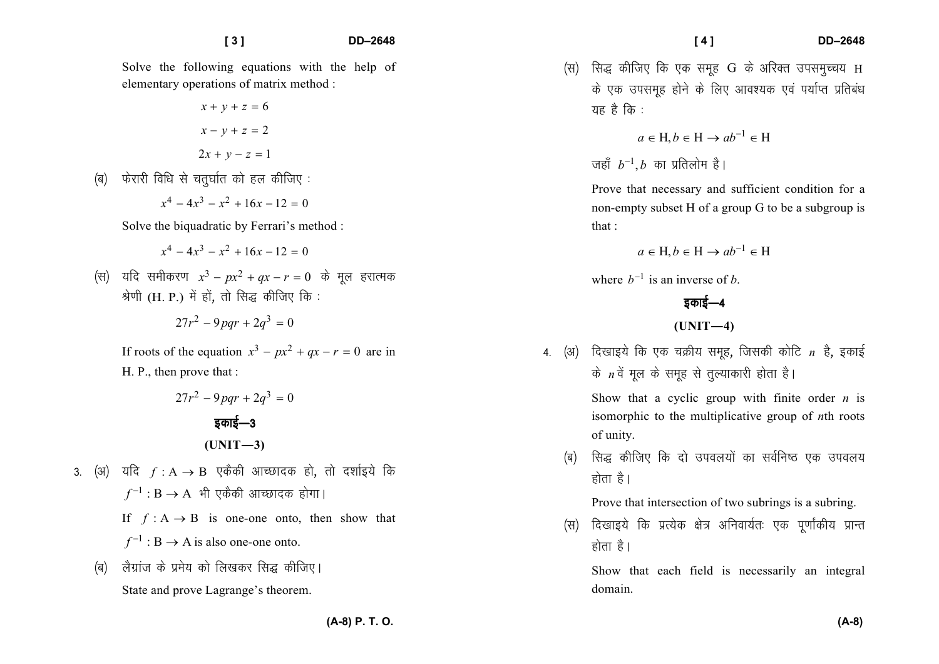Solve the following equations with the help of elementary operations of matrix method :

$$
x + y + z = 6
$$

$$
x - y + z = 2
$$

$$
2x + y - z = 1
$$

*¼c½ Qsjkjh fof/k ls prq?kkZr dks gy dhft, %* 

 $x^4 - 4x^3 - x^2 + 16x - 12 = 0$ 

Solve the biquadratic by Ferrari's method :

 $x^4 - 4x^3 - x^2 + 16x - 12 = 0$ 

*(स)* यदि समीकरण  $x^3 - px^2 + qx - r = 0$  के मुल हरात्मक *Js.kh* (H. P.) *esa gksa*] *rks fl) dhft, fd %* 

$$
27r^2 - 9pqr + 2q^3 = 0
$$

If roots of the equation  $x^3 - px^2 + qx - r = 0$  are in H. P., then prove that :

- $27r^2 9$  par +  $2a^3 = 0$ *bdkbZ*&*<sup>3</sup>* $(UNIT-3)$
- 3. (अ) यदि *f* : A → B एकैकी आच्छादक हो, तो दर्शाइये कि  $f^{-1}: \mathbf{B} \to \mathbf{A}$  भी एकैकी आच्छादक होगा। If  $f : A \rightarrow B$  is one-one onto, then show that
	- $f^{-1}: B \to A$  is also one-one onto.
	- *(*ब) लैग्रांज के प्रमेय को लिखकर सिद्ध कीजिए। State and prove Lagrange's theorem.

*¼l½ fl) dhft, fd ,d lewg* G *ds vfjDr mileqPp;* Hके एक उपसमूह होने के लिए आवश्यक एवं पर्याप्त प्रतिबंध यह है कि :

$$
a \in \mathcal{H}, b \in \mathcal{H} \to ab^{-1} \in \mathcal{H}
$$

 $\sigma$ हाँ  $b^{-1}$ , *b* का प्रतिलोम है।

Prove that necessary and sufficient condition for anon-empty subset H of a group G to be a subgroup isthat :

$$
a \in \mathcal{H}, b \in \mathcal{H} \to ab^{-1} \in \mathcal{H}
$$

where  $b^{-1}$  is an inverse of *b*.

## *bdkbZ*&*<sup>4</sup>*

**(UNIT—4)** 

4. (अ) दिखाइये कि एक चक्रीय समूह, जिसकी कोटि *n* है, इकाई के *n* वें मूल के समूह से तुल्याकारी होता है।

> Show that a cyclic group with finite order *n* is isomorphic to the multiplicative group of *n*th roots of unity.

*¼c½ fl) dhft, fd nks mioy;ksa dk loZfu"B ,d mioy; होता* है।

Prove that intersection of two subrings is a subring.

*(*स) दिखाइये कि प्रत्येक क्षेत्र अनिवार्यतः एक पर्णाकीय प्रान्त *gksrk gSA* 

Show that each field is necessarily an integral domain.